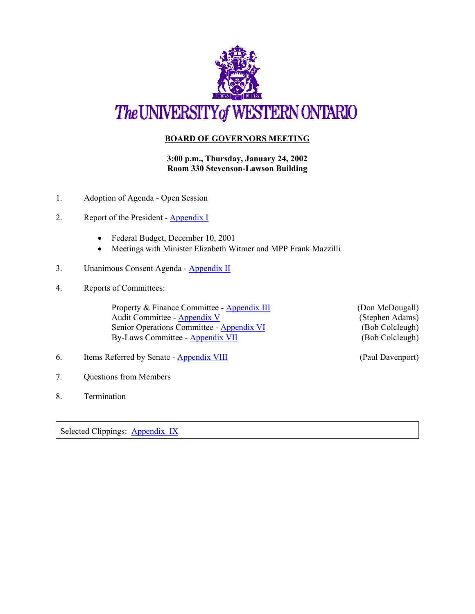

## **BOARD OF GOVERNORS MEETING**

**3:00 p.m., Thursday, January 24, 2002 Room 330 Stevenson-Lawson Building**

- 1. Adoption of Agenda Open Session
- 2. Report of the President [Appendix I](http://www.uwo.ca/univsec/board/minutes/2002/r0201PresRept.pdf)
	- Federal Budget, December 10, 2001
	- Meetings with Minister Elizabeth Witmer and MPP Frank Mazzilli
- 3. Unanimous Consent Agenda [Appendix II](http://www.uwo.ca/univsec/board/minutes/2002/r0201consent.pdf)
- 4. Reports of Committees:

Property & Finance Committee - [Appendix III](http://www.uwo.ca/univsec/board/minutes/2002/r0201pf.pdf) (Don McDougall) Audit Committee - [Appendix V](http://www.uwo.ca/univsec/board/minutes/2002/r0201aud.pdf) (Stephen Adams) Senior Operations Committee - [Appendix VI](http://www.uwo.ca/univsec/board/minutes/2002/r0201sro.pdf) (Bob Colcleugh) By-Laws Committee - [Appendix VII](http://www.uwo.ca/univsec/board/minutes/2002/r0201byl.pdf) (Bob Colcleugh)

6. Items Referred by Senate - [Appendix VIII](http://www.uwo.ca/univsec/board/minutes/2002/r0201sen.pdf) (Paul Davenport)

- 7. Questions from Members
- 8. Termination

Selected Clippings: [Appendix IX](http://www.uwo.ca/univsec/board/minutes/note.html)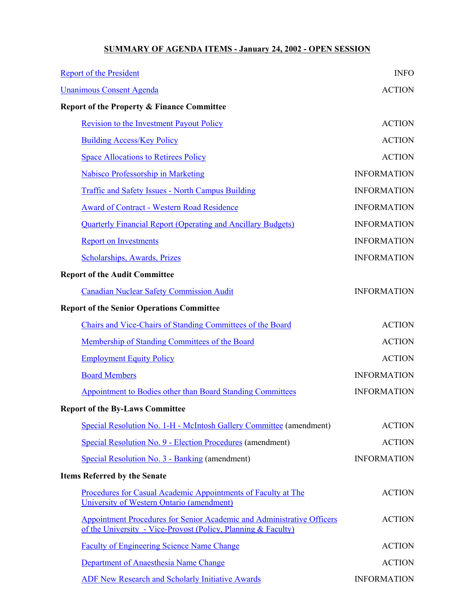## **SUMMARY OF AGENDA ITEMS - January 24, 2002 - OPEN SESSION**

| <b>Report of the President</b>                                                                                                          | <b>INFO</b>        |
|-----------------------------------------------------------------------------------------------------------------------------------------|--------------------|
| <b>Unanimous Consent Agenda</b>                                                                                                         | <b>ACTION</b>      |
| <b>Report of the Property &amp; Finance Committee</b>                                                                                   |                    |
| <b>Revision to the Investment Payout Policy</b>                                                                                         | <b>ACTION</b>      |
| <b>Building Access/Key Policy</b>                                                                                                       | <b>ACTION</b>      |
| <b>Space Allocations to Retirees Policy</b>                                                                                             | <b>ACTION</b>      |
| <b>Nabisco Professorship in Marketing</b>                                                                                               | <b>INFORMATION</b> |
| <b>Traffic and Safety Issues - North Campus Building</b>                                                                                | <b>INFORMATION</b> |
| <b>Award of Contract - Western Road Residence</b>                                                                                       | <b>INFORMATION</b> |
| <b>Quarterly Financial Report (Operating and Ancillary Budgets)</b>                                                                     | <b>INFORMATION</b> |
| <b>Report on Investments</b>                                                                                                            | <b>INFORMATION</b> |
| <b>Scholarships, Awards, Prizes</b>                                                                                                     | <b>INFORMATION</b> |
| <b>Report of the Audit Committee</b>                                                                                                    |                    |
| <b>Canadian Nuclear Safety Commission Audit</b>                                                                                         | <b>INFORMATION</b> |
| <b>Report of the Senior Operations Committee</b>                                                                                        |                    |
| Chairs and Vice-Chairs of Standing Committees of the Board                                                                              | <b>ACTION</b>      |
| Membership of Standing Committees of the Board                                                                                          | <b>ACTION</b>      |
| <b>Employment Equity Policy</b>                                                                                                         | <b>ACTION</b>      |
| <b>Board Members</b>                                                                                                                    | <b>INFORMATION</b> |
| <b>Appointment to Bodies other than Board Standing Committees</b>                                                                       | <b>INFORMATION</b> |
| <b>Report of the By-Laws Committee</b>                                                                                                  |                    |
| Special Resolution No. 1-H - McIntosh Gallery Committee (amendment)                                                                     | <b>ACTION</b>      |
| Special Resolution No. 9 - Election Procedures (amendment)                                                                              | <b>ACTION</b>      |
| Special Resolution No. 3 - Banking (amendment)                                                                                          | <b>INFORMATION</b> |
| <b>Items Referred by the Senate</b>                                                                                                     |                    |
| Procedures for Casual Academic Appointments of Faculty at The<br>University of Western Ontario (amendment)                              | <b>ACTION</b>      |
| Appointment Procedures for Senior Academic and Administrative Officers<br>of the University - Vice-Provost (Policy, Planning & Faculty) | <b>ACTION</b>      |
| <b>Faculty of Engineering Science Name Change</b>                                                                                       | <b>ACTION</b>      |
| Department of Anaesthesia Name Change                                                                                                   | <b>ACTION</b>      |
| <b>ADF New Research and Scholarly Initiative Awards</b>                                                                                 | <b>INFORMATION</b> |